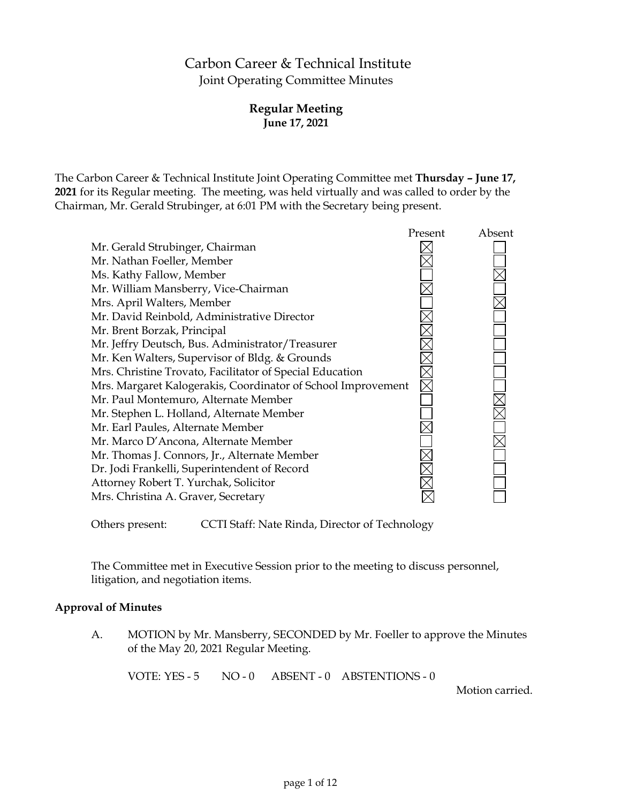# Carbon Career & Technical Institute Joint Operating Committee Minutes

# **Regular Meeting June 17, 2021**

The Carbon Career & Technical Institute Joint Operating Committee met **Thursday – June 17, 2021** for its Regular meeting. The meeting, was held virtually and was called to order by the Chairman, Mr. Gerald Strubinger, at 6:01 PM with the Secretary being present.

|                                                              | Present | Absent |
|--------------------------------------------------------------|---------|--------|
| Mr. Gerald Strubinger, Chairman                              |         |        |
| Mr. Nathan Foeller, Member                                   |         |        |
| Ms. Kathy Fallow, Member                                     |         |        |
| Mr. William Mansberry, Vice-Chairman                         |         |        |
| Mrs. April Walters, Member                                   |         |        |
| Mr. David Reinbold, Administrative Director                  |         |        |
| Mr. Brent Borzak, Principal                                  |         |        |
| Mr. Jeffry Deutsch, Bus. Administrator/Treasurer             |         |        |
| Mr. Ken Walters, Supervisor of Bldg. & Grounds               |         |        |
| Mrs. Christine Trovato, Facilitator of Special Education     |         |        |
| Mrs. Margaret Kalogerakis, Coordinator of School Improvement |         |        |
| Mr. Paul Montemuro, Alternate Member                         |         |        |
| Mr. Stephen L. Holland, Alternate Member                     |         |        |
| Mr. Earl Paules, Alternate Member                            |         |        |
| Mr. Marco D'Ancona, Alternate Member                         |         |        |
| Mr. Thomas J. Connors, Jr., Alternate Member                 |         |        |
| Dr. Jodi Frankelli, Superintendent of Record                 |         |        |
| Attorney Robert T. Yurchak, Solicitor                        |         |        |
| Mrs. Christina A. Graver, Secretary                          |         |        |
|                                                              |         |        |

Others present: CCTI Staff: Nate Rinda, Director of Technology

The Committee met in Executive Session prior to the meeting to discuss personnel, litigation, and negotiation items.

### **Approval of Minutes**

A. MOTION by Mr. Mansberry, SECONDED by Mr. Foeller to approve the Minutes of the May 20, 2021 Regular Meeting.

VOTE: YES - 5 NO - 0 ABSENT - 0 ABSTENTIONS - 0

Motion carried.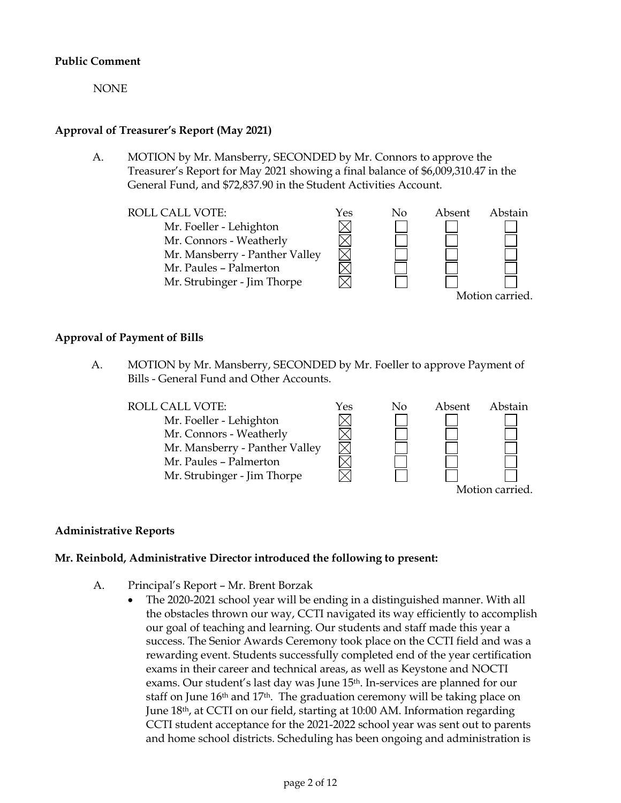### **Public Comment**

NONE

# **Approval of Treasurer's Report (May 2021)**

A. MOTION by Mr. Mansberry, SECONDED by Mr. Connors to approve the Treasurer's Report for May 2021 showing a final balance of \$6,009,310.47 in the General Fund, and \$72,837.90 in the Student Activities Account.



### **Approval of Payment of Bills**

A. MOTION by Mr. Mansberry, SECONDED by Mr. Foeller to approve Payment of Bills - General Fund and Other Accounts.



### **Administrative Reports**

### **Mr. Reinbold, Administrative Director introduced the following to present:**

- A. Principal's Report Mr. Brent Borzak
	- The 2020-2021 school year will be ending in a distinguished manner. With all the obstacles thrown our way, CCTI navigated its way efficiently to accomplish our goal of teaching and learning. Our students and staff made this year a success. The Senior Awards Ceremony took place on the CCTI field and was a rewarding event. Students successfully completed end of the year certification exams in their career and technical areas, as well as Keystone and NOCTI exams. Our student's last day was June 15th. In-services are planned for our staff on June 16<sup>th</sup> and 17<sup>th</sup>. The graduation ceremony will be taking place on June 18th, at CCTI on our field, starting at 10:00 AM. Information regarding CCTI student acceptance for the 2021-2022 school year was sent out to parents and home school districts. Scheduling has been ongoing and administration is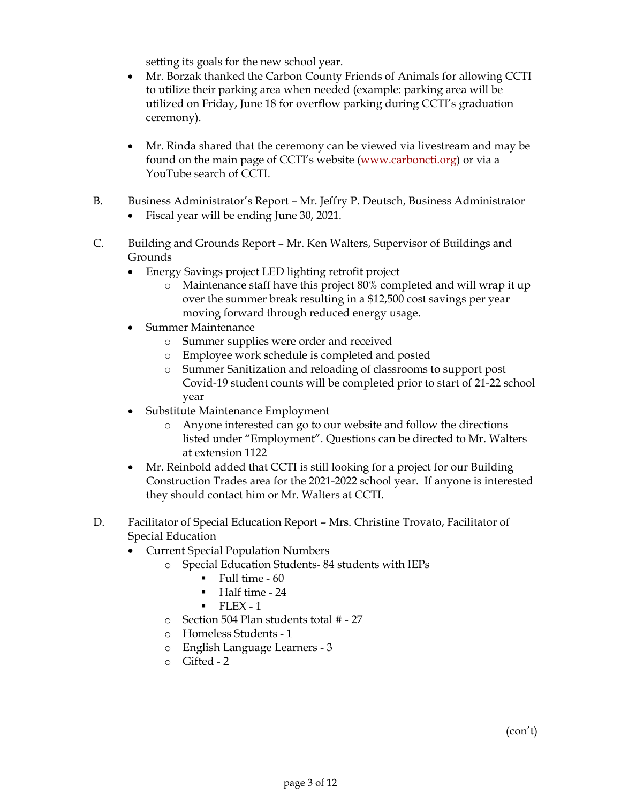setting its goals for the new school year.

- Mr. Borzak thanked the Carbon County Friends of Animals for allowing CCTI to utilize their parking area when needed (example: parking area will be utilized on Friday, June 18 for overflow parking during CCTI's graduation ceremony).
- Mr. Rinda shared that the ceremony can be viewed via livestream and may be found on the main page of CCTI's website [\(www.carboncti.org\)](http://www.carboncti.org/) or via a YouTube search of CCTI.
- B. Business Administrator's Report Mr. Jeffry P. Deutsch, Business Administrator • Fiscal year will be ending June 30, 2021.
- C. Building and Grounds Report Mr. Ken Walters, Supervisor of Buildings and Grounds
	- Energy Savings project LED lighting retrofit project
		- o Maintenance staff have this project 80% completed and will wrap it up over the summer break resulting in a \$12,500 cost savings per year moving forward through reduced energy usage.
	- Summer Maintenance
		- o Summer supplies were order and received
		- o Employee work schedule is completed and posted
		- o Summer Sanitization and reloading of classrooms to support post Covid-19 student counts will be completed prior to start of 21-22 school year
	- Substitute Maintenance Employment
		- o Anyone interested can go to our website and follow the directions listed under "Employment". Questions can be directed to Mr. Walters at extension 1122
	- Mr. Reinbold added that CCTI is still looking for a project for our Building Construction Trades area for the 2021-2022 school year. If anyone is interested they should contact him or Mr. Walters at CCTI.
- D. Facilitator of Special Education Report Mrs. Christine Trovato, Facilitator of Special Education
	- Current Special Population Numbers
		- o Special Education Students- 84 students with IEPs
			- $\blacksquare$  Full time 60
			- Half time 24
			- $\blacksquare$  FLEX 1
			- o Section 504 Plan students total # 27
		- o Homeless Students 1
		- o English Language Learners 3
		- $O$  Gifted 2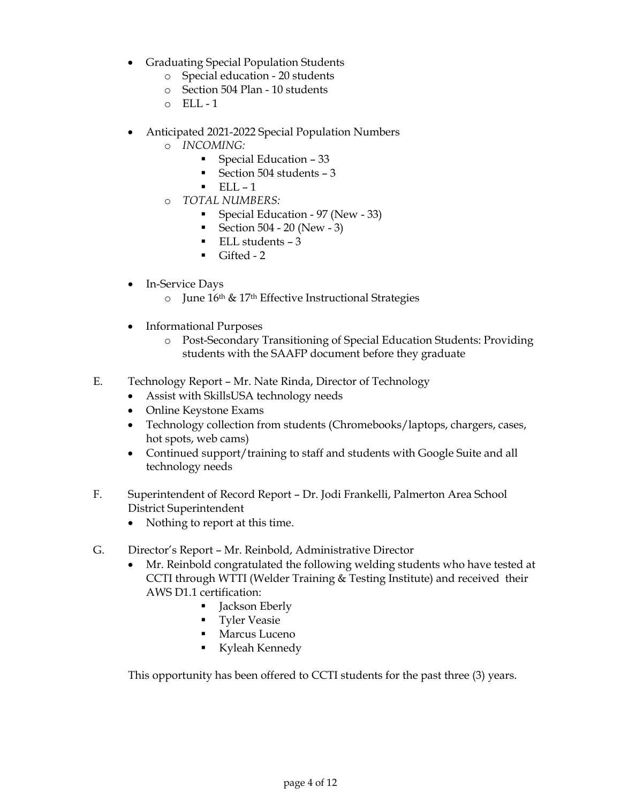- Graduating Special Population Students
	- o Special education 20 students
	- o Section 504 Plan 10 students
	- $O$  ELL-1
- Anticipated 2021-2022 Special Population Numbers
	- o *INCOMING:*
		- Special Education  $-33$
		- Section 504 students  $-3$
		- $\blacksquare$  ELL 1
	- o *TOTAL NUMBERS:*
		- **Special Education 97 (New 33)**
		- Section  $504 20$  (New 3)
		- $\blacksquare$  ELL students  $-3$
		- $\blacksquare$  Gifted 2
- In-Service Days
	- o June 16th & 17th Effective Instructional Strategies
- Informational Purposes
	- o Post-Secondary Transitioning of Special Education Students: Providing students with the SAAFP document before they graduate
- E. Technology Report Mr. Nate Rinda, Director of Technology
	- Assist with SkillsUSA technology needs
	- Online Keystone Exams
	- Technology collection from students (Chromebooks/laptops, chargers, cases, hot spots, web cams)
	- Continued support/training to staff and students with Google Suite and all technology needs
- F. Superintendent of Record Report Dr. Jodi Frankelli, Palmerton Area School District Superintendent
	- Nothing to report at this time.
- G. Director's Report Mr. Reinbold, Administrative Director
	- Mr. Reinbold congratulated the following welding students who have tested at CCTI through WTTI (Welder Training & Testing Institute) and received their AWS D1.1 certification:
		- Jackson Eberly
		- **Tyler Veasie**
		- **Marcus Luceno**
		- Kyleah Kennedy

This opportunity has been offered to CCTI students for the past three (3) years.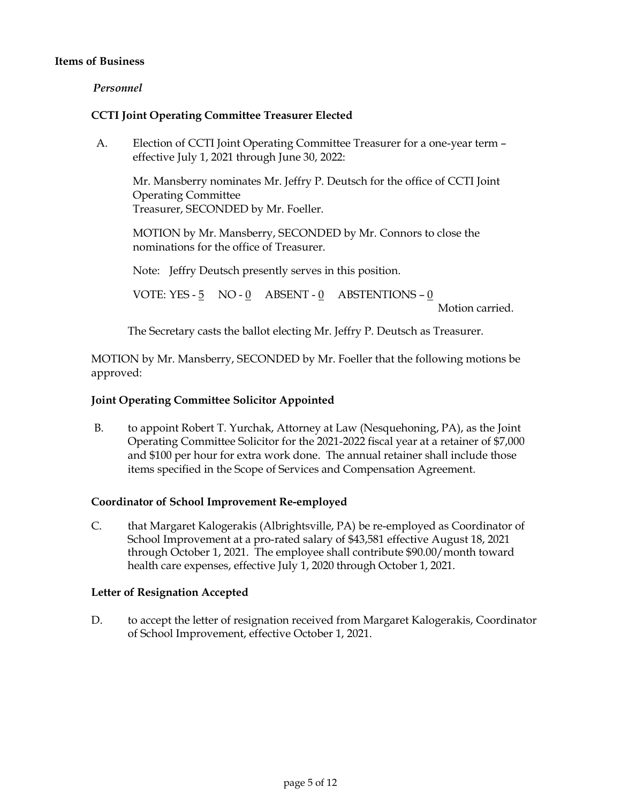### **Items of Business**

### *Personnel*

### **CCTI Joint Operating Committee Treasurer Elected**

A. Election of CCTI Joint Operating Committee Treasurer for a one-year term – effective July 1, 2021 through June 30, 2022:

Mr. Mansberry nominates Mr. Jeffry P. Deutsch for the office of CCTI Joint Operating Committee Treasurer, SECONDED by Mr. Foeller.

MOTION by Mr. Mansberry, SECONDED by Mr. Connors to close the nominations for the office of Treasurer.

Note: Jeffry Deutsch presently serves in this position.

VOTE: YES - 5 NO - 0 ABSENT - 0 ABSTENTIONS – 0

Motion carried.

The Secretary casts the ballot electing Mr. Jeffry P. Deutsch as Treasurer.

MOTION by Mr. Mansberry, SECONDED by Mr. Foeller that the following motions be approved:

#### **Joint Operating Committee Solicitor Appointed**

B. to appoint Robert T. Yurchak, Attorney at Law (Nesquehoning, PA), as the Joint Operating Committee Solicitor for the 2021-2022 fiscal year at a retainer of \$7,000 and \$100 per hour for extra work done. The annual retainer shall include those items specified in the Scope of Services and Compensation Agreement.

#### **Coordinator of School Improvement Re-employed**

C. that Margaret Kalogerakis (Albrightsville, PA) be re-employed as Coordinator of School Improvement at a pro-rated salary of \$43,581 effective August 18, 2021 through October 1, 2021. The employee shall contribute \$90.00/month toward health care expenses, effective July 1, 2020 through October 1, 2021.

### **Letter of Resignation Accepted**

D. to accept the letter of resignation received from Margaret Kalogerakis, Coordinator of School Improvement, effective October 1, 2021.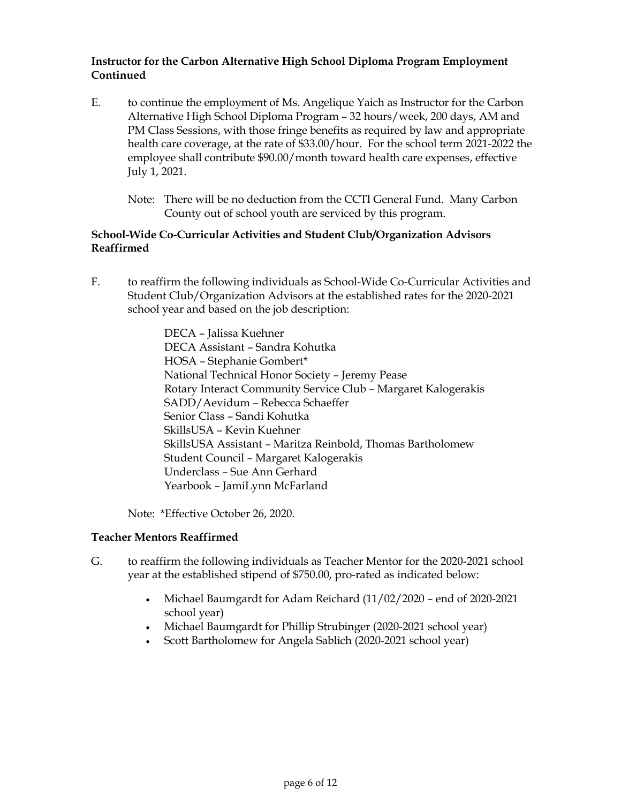# **Instructor for the Carbon Alternative High School Diploma Program Employment Continued**

- E. to continue the employment of Ms. Angelique Yaich as Instructor for the Carbon Alternative High School Diploma Program – 32 hours/week, 200 days, AM and PM Class Sessions, with those fringe benefits as required by law and appropriate health care coverage, at the rate of \$33.00/hour. For the school term 2021-2022 the employee shall contribute \$90.00/month toward health care expenses, effective July 1, 2021.
	- Note: There will be no deduction from the CCTI General Fund. Many Carbon County out of school youth are serviced by this program.

### **School-Wide Co-Curricular Activities and Student Club/Organization Advisors Reaffirmed**

F. to reaffirm the following individuals as School-Wide Co-Curricular Activities and Student Club/Organization Advisors at the established rates for the 2020-2021 school year and based on the job description:

> DECA – Jalissa Kuehner DECA Assistant – Sandra Kohutka HOSA – Stephanie Gombert\* National Technical Honor Society – Jeremy Pease Rotary Interact Community Service Club – Margaret Kalogerakis SADD/Aevidum – Rebecca Schaeffer Senior Class – Sandi Kohutka SkillsUSA – Kevin Kuehner SkillsUSA Assistant – Maritza Reinbold, Thomas Bartholomew Student Council – Margaret Kalogerakis Underclass – Sue Ann Gerhard Yearbook – JamiLynn McFarland

Note: \*Effective October 26, 2020.

### **Teacher Mentors Reaffirmed**

- G. to reaffirm the following individuals as Teacher Mentor for the 2020-2021 school year at the established stipend of \$750.00, pro-rated as indicated below:
	- Michael Baumgardt for Adam Reichard (11/02/2020 end of 2020-2021 school year)
	- Michael Baumgardt for Phillip Strubinger (2020-2021 school year)
	- Scott Bartholomew for Angela Sablich (2020-2021 school year)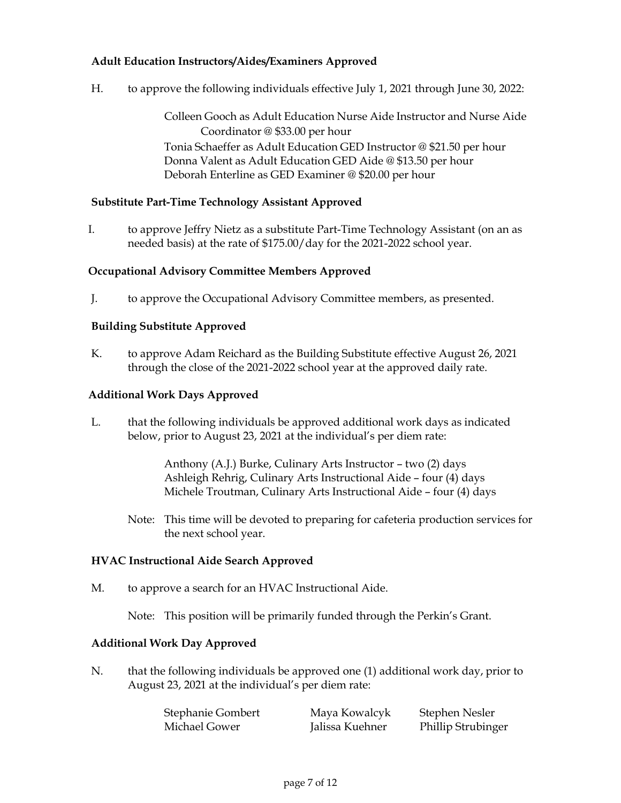# **Adult Education Instructors/Aides/Examiners Approved**

H. to approve the following individuals effective July 1, 2021 through June 30, 2022:

Colleen Gooch as Adult Education Nurse Aide Instructor and Nurse Aide Coordinator @ \$33.00 per hour Tonia Schaeffer as Adult Education GED Instructor @ \$21.50 per hour Donna Valent as Adult Education GED Aide @ \$13.50 per hour Deborah Enterline as GED Examiner @ \$20.00 per hour

### **Substitute Part-Time Technology Assistant Approved**

I. to approve Jeffry Nietz as a substitute Part-Time Technology Assistant (on an as needed basis) at the rate of \$175.00/day for the 2021-2022 school year.

### **Occupational Advisory Committee Members Approved**

J. to approve the Occupational Advisory Committee members, as presented.

### **Building Substitute Approved**

K. to approve Adam Reichard as the Building Substitute effective August 26, 2021 through the close of the 2021-2022 school year at the approved daily rate.

#### **Additional Work Days Approved**

L. that the following individuals be approved additional work days as indicated below, prior to August 23, 2021 at the individual's per diem rate:

> Anthony (A.J.) Burke, Culinary Arts Instructor – two (2) days Ashleigh Rehrig, Culinary Arts Instructional Aide – four (4) days Michele Troutman, Culinary Arts Instructional Aide – four (4) days

Note: This time will be devoted to preparing for cafeteria production services for the next school year.

#### **HVAC Instructional Aide Search Approved**

M. to approve a search for an HVAC Instructional Aide.

Note: This position will be primarily funded through the Perkin's Grant.

### **Additional Work Day Approved**

N. that the following individuals be approved one (1) additional work day, prior to August 23, 2021 at the individual's per diem rate:

| Stephanie Gombert | Maya Kowalcyk   | Stephen Nesler     |
|-------------------|-----------------|--------------------|
| Michael Gower     | Jalissa Kuehner | Phillip Strubinger |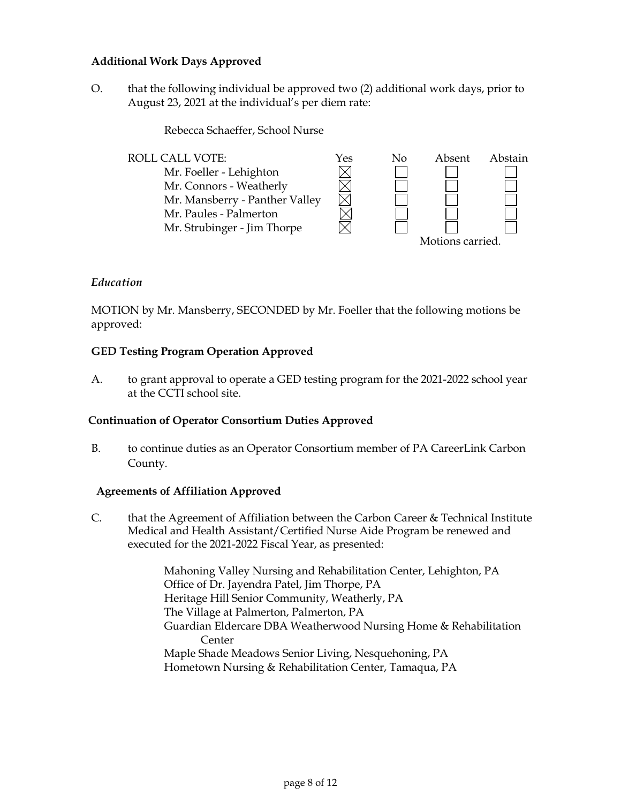### **Additional Work Days Approved**

O. that the following individual be approved two (2) additional work days, prior to August 23, 2021 at the individual's per diem rate:

Rebecca Schaeffer, School Nurse



### *Education*

MOTION by Mr. Mansberry, SECONDED by Mr. Foeller that the following motions be approved:

### **GED Testing Program Operation Approved**

A. to grant approval to operate a GED testing program for the 2021-2022 school year at the CCTI school site.

### **Continuation of Operator Consortium Duties Approved**

B. to continue duties as an Operator Consortium member of PA CareerLink Carbon County.

### **Agreements of Affiliation Approved**

C. that the Agreement of Affiliation between the Carbon Career  $&$  Technical Institute Medical and Health Assistant/Certified Nurse Aide Program be renewed and executed for the 2021-2022 Fiscal Year, as presented:

> Mahoning Valley Nursing and Rehabilitation Center, Lehighton, PA Office of Dr. Jayendra Patel, Jim Thorpe, PA Heritage Hill Senior Community, Weatherly, PA The Village at Palmerton, Palmerton, PA Guardian Eldercare DBA Weatherwood Nursing Home & Rehabilitation Center Maple Shade Meadows Senior Living, Nesquehoning, PA Hometown Nursing & Rehabilitation Center, Tamaqua, PA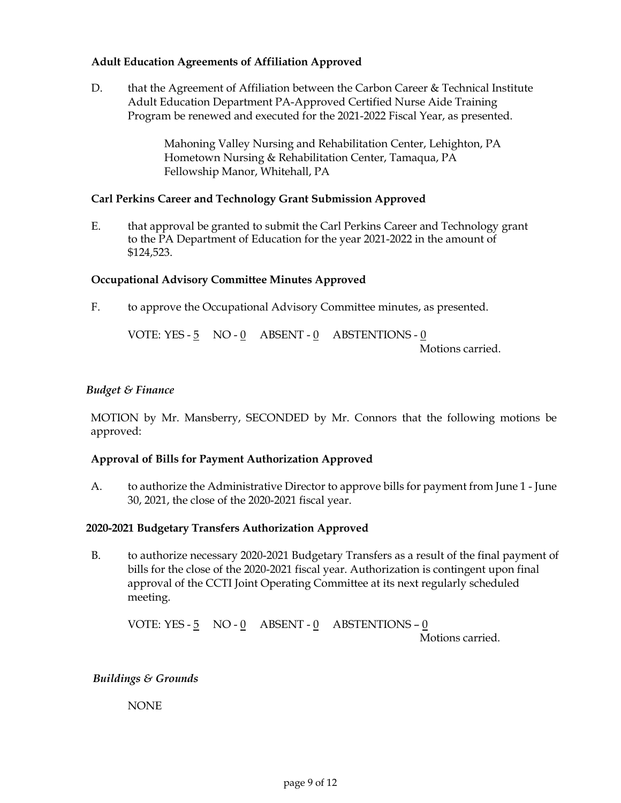### **Adult Education Agreements of Affiliation Approved**

D. that the Agreement of Affiliation between the Carbon Career & Technical Institute Adult Education Department PA-Approved Certified Nurse Aide Training Program be renewed and executed for the 2021-2022 Fiscal Year, as presented.

> Mahoning Valley Nursing and Rehabilitation Center, Lehighton, PA Hometown Nursing & Rehabilitation Center, Tamaqua, PA Fellowship Manor, Whitehall, PA

#### **Carl Perkins Career and Technology Grant Submission Approved**

E. that approval be granted to submit the Carl Perkins Career and Technology grant to the PA Department of Education for the year 2021-2022 in the amount of \$124,523.

### **Occupational Advisory Committee Minutes Approved**

F. to approve the Occupational Advisory Committee minutes, as presented.

VOTE: YES - 5 NO - 0 ABSENT - 0 ABSTENTIONS - 0 Motions carried.

### *Budget & Finance*

MOTION by Mr. Mansberry, SECONDED by Mr. Connors that the following motions be approved:

#### **Approval of Bills for Payment Authorization Approved**

A. to authorize the Administrative Director to approve bills for payment from June 1 - June 30, 2021, the close of the 2020-2021 fiscal year.

#### **2020-2021 Budgetary Transfers Authorization Approved**

B. to authorize necessary 2020-2021 Budgetary Transfers as a result of the final payment of bills for the close of the 2020-2021 fiscal year. Authorization is contingent upon final approval of the CCTI Joint Operating Committee at its next regularly scheduled meeting.

VOTE: YES - 5 NO - 0 ABSENT - 0 ABSTENTIONS – 0 Motions carried.

#### *Buildings & Grounds*

NONE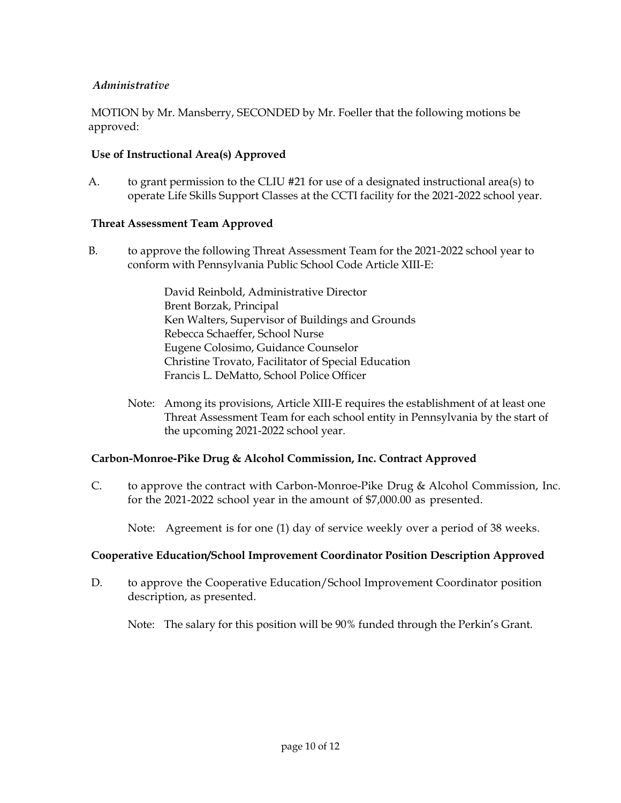# *Administrative*

MOTION by Mr. Mansberry, SECONDED by Mr. Foeller that the following motions be approved:

### **Use of Instructional Area(s) Approved**

A. to grant permission to the CLIU #21 for use of a designated instructional area(s) to operate Life Skills Support Classes at the CCTI facility for the 2021-2022 school year.

### **Threat Assessment Team Approved**

B. to approve the following Threat Assessment Team for the 2021-2022 school year to conform with Pennsylvania Public School Code Article XIII-E:

> David Reinbold, Administrative Director Brent Borzak, Principal Ken Walters, Supervisor of Buildings and Grounds Rebecca Schaeffer, School Nurse Eugene Colosimo, Guidance Counselor Christine Trovato, Facilitator of Special Education Francis L. DeMatto, School Police Officer

Note: Among its provisions, Article XIII-E requires the establishment of at least one Threat Assessment Team for each school entity in Pennsylvania by the start of the upcoming 2021-2022 school year.

### **Carbon-Monroe-Pike Drug & Alcohol Commission, Inc. Contract Approved**

C. to approve the contract with Carbon-Monroe-Pike Drug & Alcohol Commission, Inc. for the 2021-2022 school year in the amount of \$7,000.00 as presented.

Note: Agreement is for one (1) day of service weekly over a period of 38 weeks.

### **Cooperative Education/School Improvement Coordinator Position Description Approved**

D. to approve the Cooperative Education/School Improvement Coordinator position description, as presented.

Note: The salary for this position will be 90% funded through the Perkin's Grant.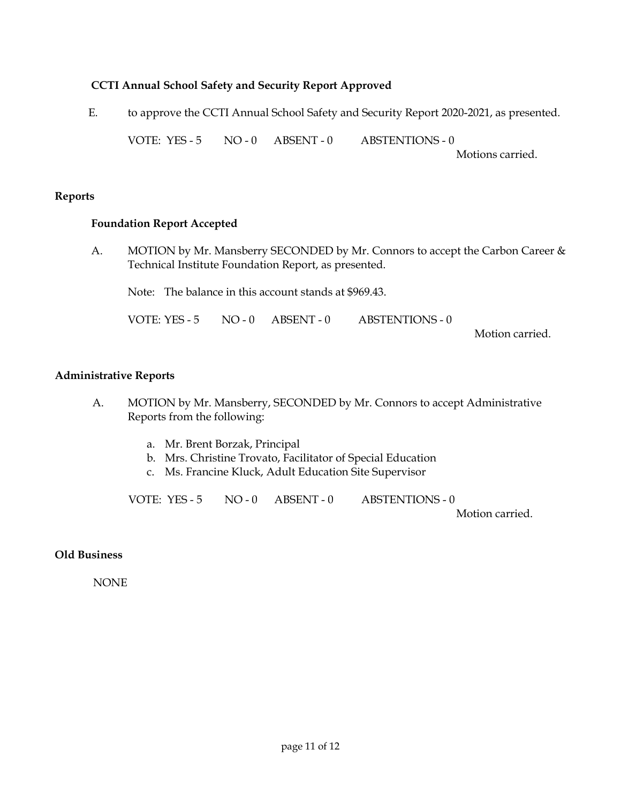### **CCTI Annual School Safety and Security Report Approved**

E. to approve the CCTI Annual School Safety and Security Report 2020-2021, as presented.

VOTE: YES - 5 NO - 0 ABSENT - 0 ABSTENTIONS - 0

Motions carried.

### **Reports**

### **Foundation Report Accepted**

A. MOTION by Mr. Mansberry SECONDED by Mr. Connors to accept the Carbon Career & Technical Institute Foundation Report, as presented.

Note: The balance in this account stands at \$969.43.

VOTE: YES - 5 NO - 0 ABSENT - 0 ABSTENTIONS - 0

Motion carried.

### **Administrative Reports**

- A. MOTION by Mr. Mansberry, SECONDED by Mr. Connors to accept Administrative Reports from the following:
	- a. Mr. Brent Borzak, Principal
	- b. Mrs. Christine Trovato, Facilitator of Special Education
	- c. Ms. Francine Kluck, Adult Education Site Supervisor

VOTE: YES - 5 NO - 0 ABSENT - 0 ABSTENTIONS - 0

Motion carried.

### **Old Business**

NONE